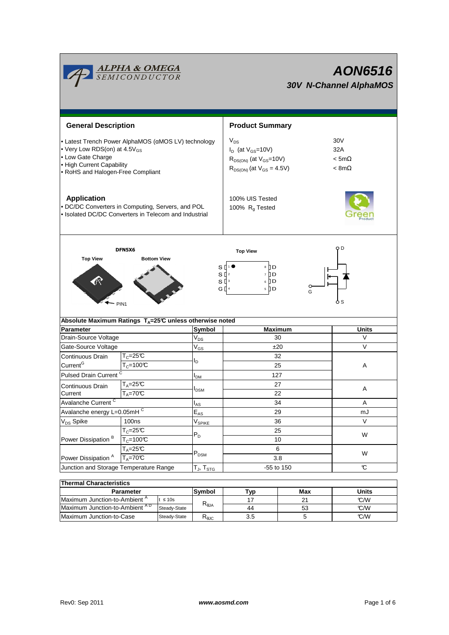

# **AON6516 30V N-Channel AlphaMOS**

| <b>General Description</b>                                                                                                                                                             |                                                                           |                    | <b>Product Summary</b>                                                                                        |     |                                               |  |  |
|----------------------------------------------------------------------------------------------------------------------------------------------------------------------------------------|---------------------------------------------------------------------------|--------------------|---------------------------------------------------------------------------------------------------------------|-----|-----------------------------------------------|--|--|
| • Latest Trench Power AlphaMOS (aMOS LV) technology<br>• Very Low RDS(on) at 4.5V <sub>GS</sub><br>• Low Gate Charge<br>. High Current Capability<br>• RoHS and Halogen-Free Compliant |                                                                           |                    | $V_{DS}$<br>$I_D$ (at $V_{GS}$ =10V)<br>$R_{DS(ON)}$ (at $V_{GS}$ =10V)<br>$R_{DS(ON)}$ (at $V_{GS} = 4.5V$ ) |     | 30V<br>32A<br>$< 5m\Omega$<br>$<$ 8m $\Omega$ |  |  |
| <b>Application</b><br>• DC/DC Converters in Computing, Servers, and POL<br>• Isolated DC/DC Converters in Telecom and Industrial                                                       |                                                                           |                    | 100% UIS Tested<br>100% R <sub>q</sub> Tested                                                                 |     |                                               |  |  |
| DFN5X6                                                                                                                                                                                 |                                                                           |                    | <b>Top View</b>                                                                                               | O D |                                               |  |  |
| <b>Top View</b><br><b>Bottom View</b><br>$S^{n+1}$<br>8 ∏D<br>ÌЮ<br>$S^{2}$<br>$\overline{7}$<br>6 D<br>$S^{13}$<br>$5$ D<br>$G \parallel$ <sup>4</sup><br>G<br>S<br>PIN <sub>1</sub>  |                                                                           |                    |                                                                                                               |     |                                               |  |  |
|                                                                                                                                                                                        | Absolute Maximum Ratings $T_A = 25^\circ \text{C}$ unless otherwise noted |                    |                                                                                                               |     |                                               |  |  |
| Parameter                                                                                                                                                                              |                                                                           | <b>Symbol</b>      | <b>Maximum</b>                                                                                                |     | <b>Units</b>                                  |  |  |
| Drain-Source Voltage                                                                                                                                                                   |                                                                           | $V_{DS}$           | 30                                                                                                            |     | V                                             |  |  |
| Gate-Source Voltage                                                                                                                                                                    |                                                                           | $V_{GS}$           | ±20                                                                                                           |     | $\vee$                                        |  |  |
| Continuous Drain                                                                                                                                                                       | $T_c = 25C$                                                               | l <sub>D</sub>     | 32<br>25                                                                                                      |     |                                               |  |  |
| Current <sup>G</sup>                                                                                                                                                                   | $T_c = 100C$                                                              |                    |                                                                                                               |     | Α                                             |  |  |
| <b>Pulsed Drain Current</b>                                                                                                                                                            |                                                                           | I <sub>DM</sub>    | 127                                                                                                           |     |                                               |  |  |
| Continuous Drain                                                                                                                                                                       | T <sub>A</sub> =25℃                                                       | $I_{DSM}$          | 27<br>22                                                                                                      |     | Α                                             |  |  |
| Current                                                                                                                                                                                | $T_A = 70C$                                                               |                    |                                                                                                               |     |                                               |  |  |
| Avalanche Current <sup>C</sup>                                                                                                                                                         |                                                                           | $I_{AS}$           | 34                                                                                                            |     | Α                                             |  |  |
| Avalanche energy L=0.05mHC                                                                                                                                                             |                                                                           | $E_{AS}$           | 29                                                                                                            |     | mJ                                            |  |  |
| $\rm V_{DS}$ Spike                                                                                                                                                                     | 100 <sub>ns</sub>                                                         | V <sub>SPIKE</sub> | 36                                                                                                            |     | $\vee$                                        |  |  |
| Power Dissipation <sup>B</sup>                                                                                                                                                         | $\overline{T_{C}}$ =25°C                                                  | $P_D$              | 25                                                                                                            |     | W                                             |  |  |
|                                                                                                                                                                                        | $T_c = 100C$                                                              |                    | 10                                                                                                            |     |                                               |  |  |
|                                                                                                                                                                                        | $T_A = 25C$                                                               | $P_{DSM}$          | 6<br>3.8                                                                                                      |     | W                                             |  |  |
| Power Dissipation <sup>A</sup>                                                                                                                                                         | $T_A = 70^\circ C$                                                        |                    |                                                                                                               |     |                                               |  |  |
| Junction and Storage Temperature Range                                                                                                                                                 |                                                                           | $T_J$ , $T_{STG}$  | -55 to 150                                                                                                    |     | C                                             |  |  |
| <b>Thermal Characteristics</b>                                                                                                                                                         |                                                                           |                    |                                                                                                               |     |                                               |  |  |
|                                                                                                                                                                                        | Parameter                                                                 | Symbol             | Tvn                                                                                                           | Max | Units                                         |  |  |

| $\overline{\phantom{a}}$ ilici iliai Uliai autolistius |                                       |      |     |       |     |  |  |
|--------------------------------------------------------|---------------------------------------|------|-----|-------|-----|--|--|
| Parameter                                              | Symbol                                | ⊤ур  | Max | Units |     |  |  |
| Maximum Junction-to-Ambient <sup>"</sup>               | t ≤ 10s<br>$R_{0,IA}$<br>Steady-State |      |     | 21    | C/W |  |  |
| Maximum Junction-to-Ambient AD                         |                                       |      | 44  | 53    | C/W |  |  |
| Maximum Junction-to-Case                               | Steady-State                          | 下⊕ЈС | 3.5 |       | C/W |  |  |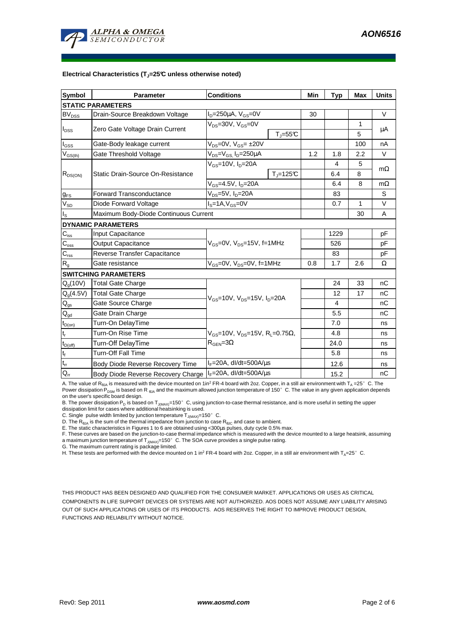

#### **Electrical Characteristics (TJ=25°C unless otherwise noted)**

| <b>Symbol</b>                           | <b>Parameter</b>                      | <b>Conditions</b>                                                                                           |                              | Min | Typ  | <b>Max</b>   | <b>Units</b> |  |
|-----------------------------------------|---------------------------------------|-------------------------------------------------------------------------------------------------------------|------------------------------|-----|------|--------------|--------------|--|
| <b>STATIC PARAMETERS</b>                |                                       |                                                                                                             |                              |     |      |              |              |  |
| <b>BV<sub>DSS</sub></b>                 | Drain-Source Breakdown Voltage        | $I_D = 250 \mu A$ , $V_{GS} = 0V$                                                                           |                              | 30  |      |              | $\vee$       |  |
| $I_{\text{DSS}}$                        | Zero Gate Voltage Drain Current       | $V_{DS}$ =30V, $V_{GS}$ =0V                                                                                 |                              |     |      | 1            | μA           |  |
|                                         |                                       |                                                                                                             | $T_{\text{J}} = 55^{\circ}C$ |     |      | 5            |              |  |
| $I_{GSS}$                               | Gate-Body leakage current             | $V_{DS} = 0V$ , $V_{GS} = \pm 20V$                                                                          |                              |     |      | 100          | nA           |  |
| $\mathsf{V}_{\mathsf{GS}(\mathsf{th})}$ | Gate Threshold Voltage                | $V_{DS} = V_{GS}$ , $I_D = 250 \mu A$                                                                       |                              | 1.2 | 1.8  | 2.2          | $\vee$       |  |
|                                         | Static Drain-Source On-Resistance     | $V_{GS}$ =10V, $I_{D}$ =20A                                                                                 |                              |     | 4    | 5            | $m\Omega$    |  |
| $R_{DS(ON)}$                            |                                       |                                                                                                             | $T = 125C$                   |     | 6.4  | 8            |              |  |
|                                         |                                       | $V_{GS}$ =4.5V, $I_D$ =20A                                                                                  |                              |     | 6.4  | 8            | $m\Omega$    |  |
| <b>g</b> <sub>FS</sub>                  | <b>Forward Transconductance</b>       | $V_{DS}$ =5V, $I_D$ =20A                                                                                    |                              |     | 83   |              | S            |  |
| $V_{SD}$                                | Diode Forward Voltage                 | $IS=1A, VGS=0V$                                                                                             |                              |     | 0.7  | $\mathbf{1}$ | $\vee$       |  |
| $I_{\rm S}$                             | Maximum Body-Diode Continuous Current |                                                                                                             |                              |     |      | 30           | A            |  |
|                                         | <b>DYNAMIC PARAMETERS</b>             |                                                                                                             |                              |     |      |              |              |  |
| $C_{\text{iss}}$                        | Input Capacitance                     | $V_{GS}$ =0V, $V_{DS}$ =15V, f=1MHz                                                                         |                              |     | 1229 |              | pF           |  |
| $C_{\rm oss}$                           | <b>Output Capacitance</b>             |                                                                                                             |                              |     | 526  |              | pF           |  |
| $C_{\text{rss}}$                        | Reverse Transfer Capacitance          |                                                                                                             |                              |     | 83   |              | pF           |  |
| $R_{g}$                                 | Gate resistance                       | $V_{GS}$ =0V, $V_{DS}$ =0V, f=1MHz                                                                          |                              | 0.8 | 1.7  | 2.6          | Ω            |  |
|                                         | <b>SWITCHING PARAMETERS</b>           |                                                                                                             |                              |     |      |              |              |  |
| $Q_q(10V)$                              | <b>Total Gate Charge</b>              | $V_{\text{GS}}$ =10V, $V_{\text{DS}}$ =15V, $I_{\text{D}}$ =20A                                             |                              |     | 24   | 33           | nC           |  |
| $Q_{g}(4.5V)$                           | <b>Total Gate Charge</b>              |                                                                                                             |                              |     | 12   | 17           | nC           |  |
| $Q_{gs}$                                | Gate Source Charge                    |                                                                                                             |                              |     | 4    |              | nC           |  |
| $\mathsf{Q}_{\underline{\mathsf{gd}}}$  | Gate Drain Charge                     |                                                                                                             |                              |     | 5.5  |              | nC           |  |
| $t_{D(on)}$                             | Turn-On DelayTime                     |                                                                                                             |                              |     | 7.0  |              | ns           |  |
| $t_r$                                   | Turn-On Rise Time                     | $V_{\text{GS}} = 10V$ , $V_{\text{DS}} = 15V$ , $R_{\text{I}} = 0.75\Omega$ ,<br>$R_{\text{GEN}} = 3\Omega$ |                              |     | 4.8  |              | ns           |  |
| $t_{D(off)}$                            | Turn-Off DelayTime                    |                                                                                                             |                              |     | 24.0 |              | ns           |  |
| $\mathbf{t}_\text{f}$                   | <b>Turn-Off Fall Time</b>             |                                                                                                             |                              |     | 5.8  |              | ns           |  |
| $t_{rr}$                                | Body Diode Reverse Recovery Time      | $I_F = 20A$ , dl/dt=500A/ $\mu$ s                                                                           |                              |     | 12.6 |              | ns           |  |
| $Q_{rr}$                                | Body Diode Reverse Recovery Charge    | $IF=20A$ , dl/dt=500A/ $\mu$ s                                                                              |                              |     | 15.2 |              | nC           |  |

A. The value of R<sub>BJA</sub> is measured with the device mounted on 1in<sup>2</sup> FR-4 board with 2oz. Copper, in a still air environment with T<sub>A</sub> =25°C. The Power dissipation  $P_{DSM}$  is based on R  $_{\text{6JA}}$  and the maximum allowed junction temperature of 150° C. The value in any given application depends on the user's specific board design.

B. The power dissipation P<sub>D</sub> is based on T<sub>J(MAX)</sub>=150°C, using junction-to-case thermal resistance, and is more useful in setting the upper<br>dissipation limit for cases where additional heatsinking is used.

C. Single pulse width limited by junction temperature  $T_{J(MAX)}$ =150°C.

D. The  $R_{\theta JA}$  is the sum of the thermal impedance from junction to case  $R_{\theta JC}$  and case to ambient. E. The static characteristics in Figures 1 to 6 are obtained using <300µs pulses, duty cycle 0.5% max.

F. These curves are based on the junction-to-case thermal impedance which is measured with the device mounted to a large heatsink, assuming a maximum junction temperature of  $T_{J(MAX)}$ =150° C. The SOA curve provides a single pulse rating.

G. The maximum current rating is package limited.

H. These tests are performed with the device mounted on 1 in<sup>2</sup> FR-4 board with 2oz. Copper, in a still air environment with T<sub>A</sub>=25°C.

THIS PRODUCT HAS BEEN DESIGNED AND QUALIFIED FOR THE CONSUMER MARKET. APPLICATIONS OR USES AS CRITICAL COMPONENTS IN LIFE SUPPORT DEVICES OR SYSTEMS ARE NOT AUTHORIZED. AOS DOES NOT ASSUME ANY LIABILITY ARISING OUT OF SUCH APPLICATIONS OR USES OF ITS PRODUCTS. AOS RESERVES THE RIGHT TO IMPROVE PRODUCT DESIGN, FUNCTIONS AND RELIABILITY WITHOUT NOTICE.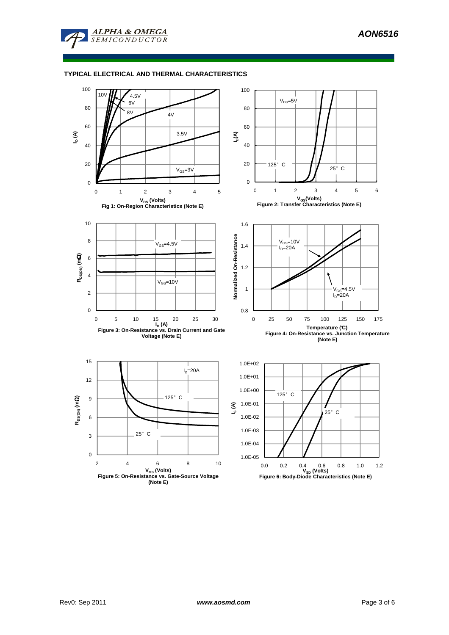

### **TYPICAL ELECTRICAL AND THERMAL CHARACTERISTICS**

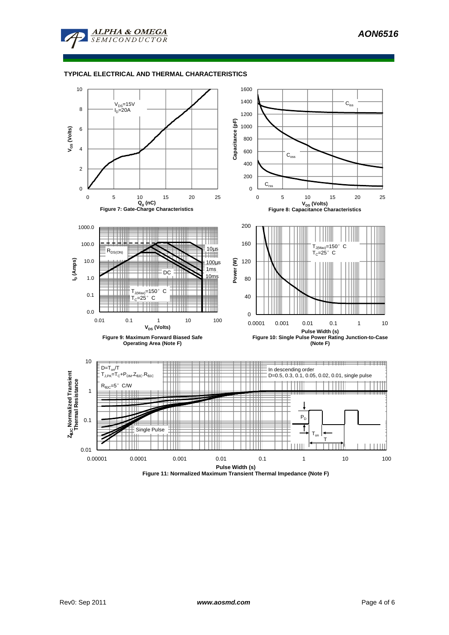

### **TYPICAL ELECTRICAL AND THERMAL CHARACTERISTICS**



**Figure 11: Normalized Maximum Transient Thermal Impedance (Note F)**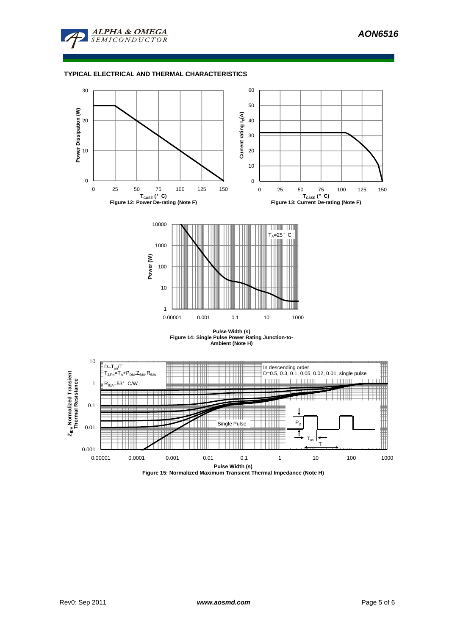

### **TYPICAL ELECTRICAL AND THERMAL CHARACTERISTICS**





**Pulse Width (s) Figure 14: Single Pulse Power Rating Junction-to-Ambient (Note H)**